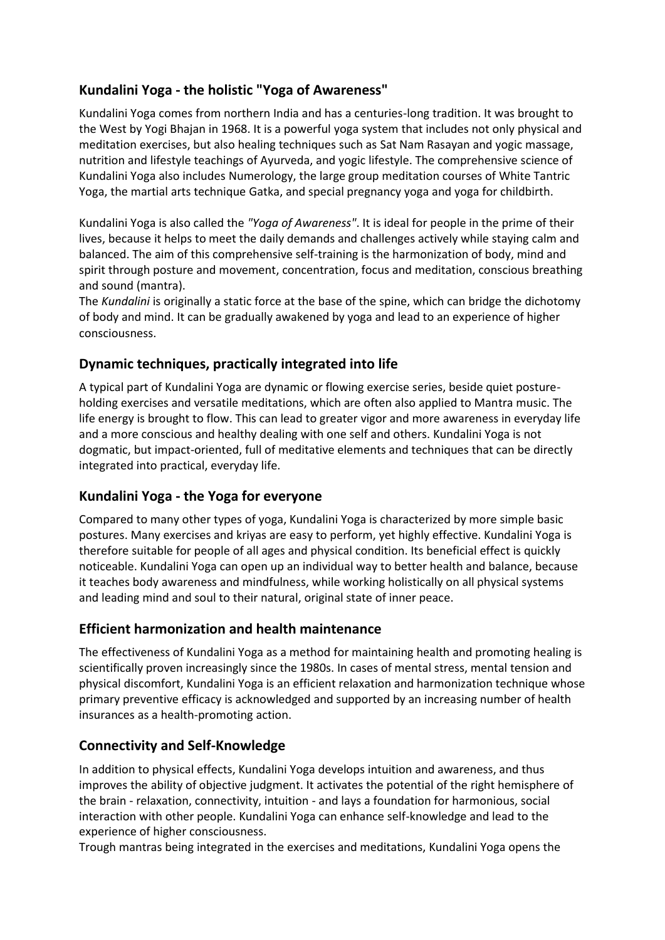# **Kundalini Yoga - the holistic "Yoga of Awareness"**

Kundalini Yoga comes from northern India and has a centuries-long tradition. It was brought to the West by [Yogi Bhajan](https://www.satnam.eu/yogi-bhajan.en.php) in 1968. It is a powerful yoga system that includes not only physical and meditation exercises, but also healing techniques such as [Sat Nam Rasayan](https://www.satnam.eu/sat-nam-rasayan-the-healing-art-guru-dev-singh-ambrosio-espinosa-p-894.html) and yogic massage, nutrition and lifestyle teachings of [Ayurveda,](https://www.satnam.eu/ayurveda.en.php) and yogic lifestyle. The comprehensive science of Kundalini Yoga also includes [Numerology,](https://www.satnam.eu/let-the-numbers-guide-you-shiv-charan-singh-p-848.en.html) the large group meditation courses of [White Tantric](https://www.satnam.eu/weisses-tantra.en.php)  [Yoga,](https://www.satnam.eu/weisses-tantra.en.php) the martial arts technique [Gatka,](https://www.satnam.eu/gatka-manual-nanak-dev-singh-p-816.en.html) and special [pregnancy yoga](https://www.satnam.eu/conscious-pregnancy-the-gift-of-giving-life-vol-1-tarn-taran-kaur-khalsa-p-817.en.html) and yoga for childbirth.

Kundalini Yoga is also called the *"Yoga of Awareness"*. It is ideal for people in the prime of their lives, because it helps to meet the daily demands and challenges actively while staying calm and balanced. The aim of this comprehensive self-training is the harmonization of body, mind and spirit through posture and movement, concentration, focus and meditation, conscious breathing and sound (mantra).

The *Kundalini* is originally a static force at the base of the spine, which can bridge the dichotomy of body and mind. It can be gradually awakened by yoga and lead to an experience of higher consciousness.

### **Dynamic techniques, practically integrated into life**

A typical part of Kundalini Yoga are dynamic or flowing exercise series, beside quiet postureholding exercises and versatile meditations, which are often also applied to Mantra music. The life energy is brought to flow. This can lead to greater vigor and more awareness in everyday life and a more conscious and healthy dealing with one self and others. Kundalini Yoga is not dogmatic, but impact-oriented, full of meditative elements and techniques that can be directly integrated into practical, everyday life.

# **Kundalini Yoga - the Yoga for everyone**

Compared to many other types of yoga, Kundalini Yoga is characterized by more simple basic postures. Many exercises and kriyas are easy to perform, yet highly effective. Kundalini Yoga is therefore suitable for people of all ages and physical condition. Its beneficial effect is quickly noticeable. Kundalini Yoga can open up an individual way to better health and balance, because it teaches body awareness and mindfulness, while working holistically on all physical systems and leading mind and soul to their natural, original state of inner peace.

### **Efficient harmonization and health maintenance**

The effectiveness of Kundalini Yoga as a method for maintaining health and promoting healing is scientifically proven increasingly since the 1980s. In cases of mental stress, mental tension and physical discomfort, Kundalini Yoga is an efficient relaxation and harmonization technique whose primary preventive efficacy is acknowledged and supported by an increasing number of health insurances as a health-promoting action.

### **Connectivity and Self-Knowledge**

In addition to physical effects, Kundalini Yoga develops intuition and awareness, and thus improves the ability of objective judgment. It activates the potential of the right hemisphere of the brain - relaxation, connectivity, intuition - and lays a foundation for harmonious, social interaction with other people. Kundalini Yoga can enhance self-knowledge and lead to the experience of higher consciousness.

Trough mantras being integrated in the exercises and meditations, Kundalini Yoga opens the